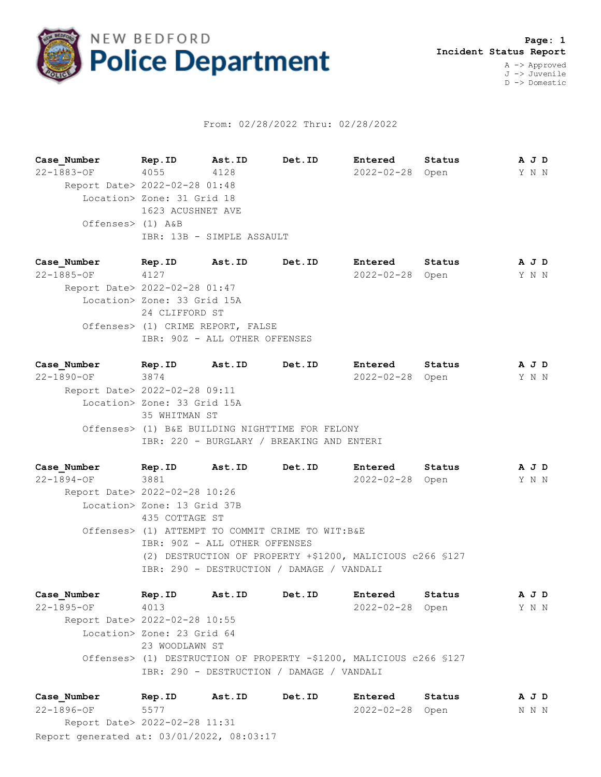

## From: 02/28/2022 Thru: 02/28/2022

**Case\_Number Rep.ID Ast.ID Det.ID Entered Status A J D** 22-1883-OF 4055 4128 2022-02-28 Open Y N N Report Date> 2022-02-28 01:48 Location> Zone: 31 Grid 18 1623 ACUSHNET AVE Offenses> (1) A&B IBR: 13B - SIMPLE ASSAULT

**Case\_Number Rep.ID Ast.ID Det.ID Entered Status A J D** 22-1885-OF 4127 2022-02-28 Open Y N N Report Date> 2022-02-28 01:47 Location> Zone: 33 Grid 15A 24 CLIFFORD ST Offenses> (1) CRIME REPORT, FALSE IBR: 90Z - ALL OTHER OFFENSES

**Case\_Number Rep.ID Ast.ID Det.ID Entered Status A J D** 22-1890-OF 3874 2022-02-28 Open Y N N Report Date> 2022-02-28 09:11 Location> Zone: 33 Grid 15A 35 WHITMAN ST Offenses> (1) B&E BUILDING NIGHTTIME FOR FELONY IBR: 220 - BURGLARY / BREAKING AND ENTERI

**Case\_Number Rep.ID Ast.ID Det.ID Entered Status A J D** 22-1894-OF 3881 2022-02-28 Open Y N N Report Date> 2022-02-28 10:26 Location> Zone: 13 Grid 37B 435 COTTAGE ST Offenses> (1) ATTEMPT TO COMMIT CRIME TO WIT:B&E IBR: 90Z - ALL OTHER OFFENSES (2) DESTRUCTION OF PROPERTY +\$1200, MALICIOUS c266 §127 IBR: 290 - DESTRUCTION / DAMAGE / VANDALI

**Case\_Number Rep.ID Ast.ID Det.ID Entered Status A J D** 22-1895-OF 4013 2022-02-28 Open Y N N Report Date> 2022-02-28 10:55 Location> Zone: 23 Grid 64 23 WOODLAWN ST Offenses> (1) DESTRUCTION OF PROPERTY -\$1200, MALICIOUS c266 §127 IBR: 290 - DESTRUCTION / DAMAGE / VANDALI

Report generated at: 03/01/2022, 08:03:17 **Case\_Number Rep.ID Ast.ID Det.ID Entered Status A J D** 22-1896-OF 5577 2022-02-28 Open N N N Report Date> 2022-02-28 11:31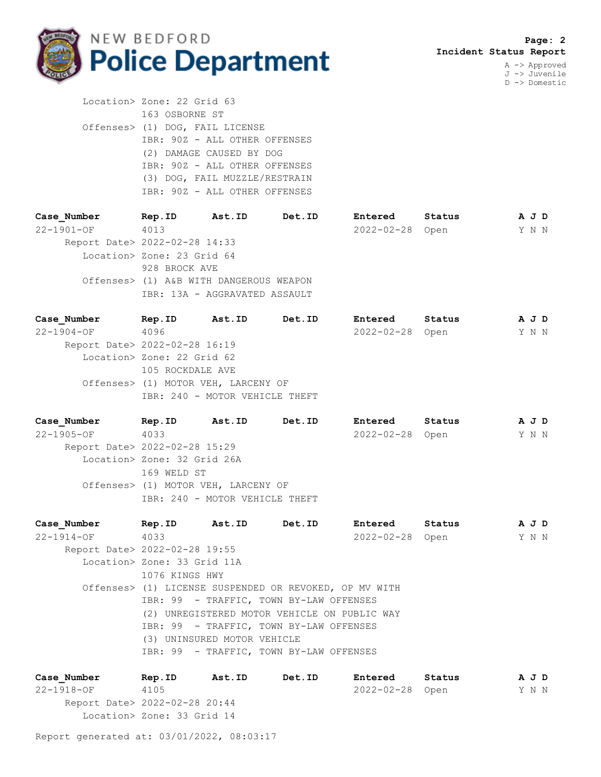

J -> Juvenile D -> Domestic

 Location> Zone: 22 Grid 63 163 OSBORNE ST Offenses> (1) DOG, FAIL LICENSE IBR: 90Z - ALL OTHER OFFENSES (2) DAMAGE CAUSED BY DOG IBR: 90Z - ALL OTHER OFFENSES (3) DOG, FAIL MUZZLE/RESTRAIN IBR: 90Z - ALL OTHER OFFENSES

| Case Number                   | Rep.ID                                  | Ast.ID                        | Det.ID | Entered          | Status | A J D |  |  |  |
|-------------------------------|-----------------------------------------|-------------------------------|--------|------------------|--------|-------|--|--|--|
| 22-1901-OF                    | 4013                                    |                               |        | $2022 - 02 - 28$ | Open   | Y N N |  |  |  |
| Report Date> 2022-02-28 14:33 |                                         |                               |        |                  |        |       |  |  |  |
|                               | Location> Zone: 23 Grid 64              |                               |        |                  |        |       |  |  |  |
|                               | 928 BROCK AVE                           |                               |        |                  |        |       |  |  |  |
|                               | Offenses> (1) A&B WITH DANGEROUS WEAPON |                               |        |                  |        |       |  |  |  |
|                               |                                         | IBR: 13A - AGGRAVATED ASSAULT |        |                  |        |       |  |  |  |
|                               |                                         |                               |        |                  |        |       |  |  |  |

| Case Number                   | Rep.ID                     | Ast.ID                              | Det.ID | Entered          | Status |  | A J D |  |  |
|-------------------------------|----------------------------|-------------------------------------|--------|------------------|--------|--|-------|--|--|
| $22 - 1904 - OF$              | 4096                       |                                     |        | $2022 - 02 - 28$ | Open   |  | Y N N |  |  |
| Report Date> 2022-02-28 16:19 |                            |                                     |        |                  |        |  |       |  |  |
|                               | Location> Zone: 22 Grid 62 |                                     |        |                  |        |  |       |  |  |
|                               | 105 ROCKDALE AVE           |                                     |        |                  |        |  |       |  |  |
|                               |                            | Offenses> (1) MOTOR VEH, LARCENY OF |        |                  |        |  |       |  |  |
|                               |                            | IBR: 240 - MOTOR VEHICLE THEFT      |        |                  |        |  |       |  |  |
|                               |                            |                                     |        |                  |        |  |       |  |  |

| Case Number                   | Rep.ID                      | Ast.ID                              | Det.ID | Entered         | Status |  | A J D |  |  |
|-------------------------------|-----------------------------|-------------------------------------|--------|-----------------|--------|--|-------|--|--|
| $22 - 1905 - OF$              | 4033                        |                                     |        | 2022-02-28 Open |        |  | Y N N |  |  |
| Report Date> 2022-02-28 15:29 |                             |                                     |        |                 |        |  |       |  |  |
|                               | Location> Zone: 32 Grid 26A |                                     |        |                 |        |  |       |  |  |
|                               | 169 WELD ST                 |                                     |        |                 |        |  |       |  |  |
|                               |                             | Offenses> (1) MOTOR VEH, LARCENY OF |        |                 |        |  |       |  |  |
|                               |                             | IBR: 240 - MOTOR VEHICLE THEFT      |        |                 |        |  |       |  |  |
|                               |                             |                                     |        |                 |        |  |       |  |  |

|  | Case Number                   | Rep.ID                      |                                                        | Ast.ID Det.ID                           | Entered         | Status |       | A J D |
|--|-------------------------------|-----------------------------|--------------------------------------------------------|-----------------------------------------|-----------------|--------|-------|-------|
|  | 22-1914-OF 4033               |                             |                                                        |                                         | 2022-02-28 Open |        | Y N N |       |
|  | Report Date> 2022-02-28 19:55 |                             |                                                        |                                         |                 |        |       |       |
|  |                               | Location> Zone: 33 Grid 11A |                                                        |                                         |                 |        |       |       |
|  |                               | 1076 KINGS HWY              |                                                        |                                         |                 |        |       |       |
|  |                               |                             | Offenses> (1) LICENSE SUSPENDED OR REVOKED, OP MV WITH |                                         |                 |        |       |       |
|  |                               |                             | IBR: 99 - TRAFFIC, TOWN BY-LAW OFFENSES                |                                         |                 |        |       |       |
|  |                               |                             | (2) UNREGISTERED MOTOR VEHICLE ON PUBLIC WAY           |                                         |                 |        |       |       |
|  |                               |                             | IBR: 99 - TRAFFIC, TOWN BY-LAW OFFENSES                |                                         |                 |        |       |       |
|  |                               |                             | (3) UNINSURED MOTOR VEHICLE                            |                                         |                 |        |       |       |
|  |                               |                             |                                                        | IBR: 99 - TRAFFIC, TOWN BY-LAW OFFENSES |                 |        |       |       |
|  |                               |                             |                                                        |                                         |                 |        |       |       |

**Case\_Number Rep.ID Ast.ID Det.ID Entered Status A J D** 22-1918-OF 4105 2022-02-28 Open Y N N Report Date> 2022-02-28 20:44 Location> Zone: 33 Grid 14

Report generated at: 03/01/2022, 08:03:17